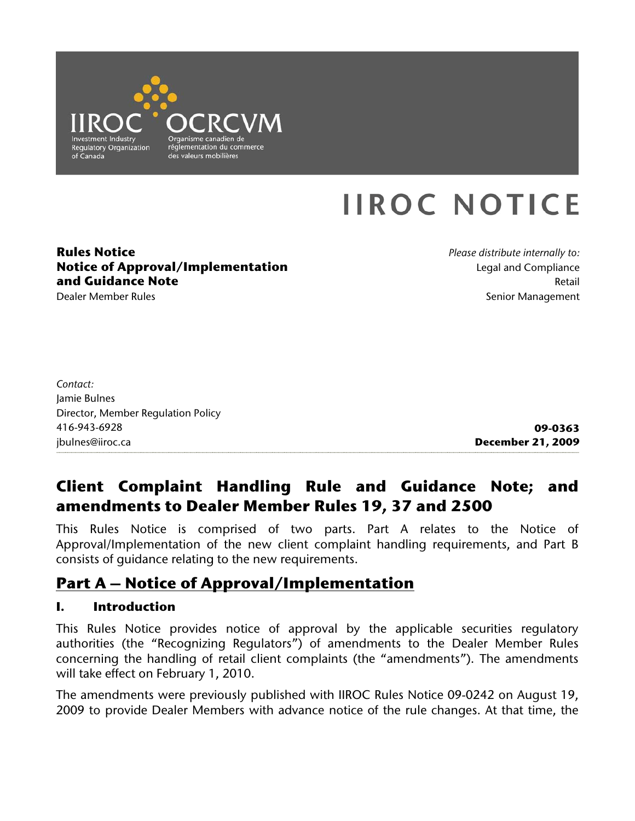

# **IIROC NOTICE**

#### **Rules Notice Notice of Approval/Implementation and Guidance Note**

Dealer Member Rules

*Please distribute internally to:* Legal and Compliance Retail Senior Management

| <b>December 21, 2009</b> |
|--------------------------|
|                          |

# **Client Complaint Handling Rule and Guidance Note; and amendments to Dealer Member Rules 19, 37 and 2500**

This Rules Notice is comprised of two parts. Part A relates to the Notice of Approval/Implementation of the new client complaint handling requirements, and Part B consists of guidance relating to the new requirements.

# **Part A – Notice of Approval/Implementation**

## **I. Introduction**

This Rules Notice provides notice of approval by the applicable securities regulatory authorities (the "Recognizing Regulators") of amendments to the Dealer Member Rules concerning the handling of retail client complaints (the "amendments"). The amendments will take effect on February 1, 2010.

The amendments were previously published with IIROC Rules Notice 09-0242 on August 19, 2009 to provide Dealer Members with advance notice of the rule changes. At that time, the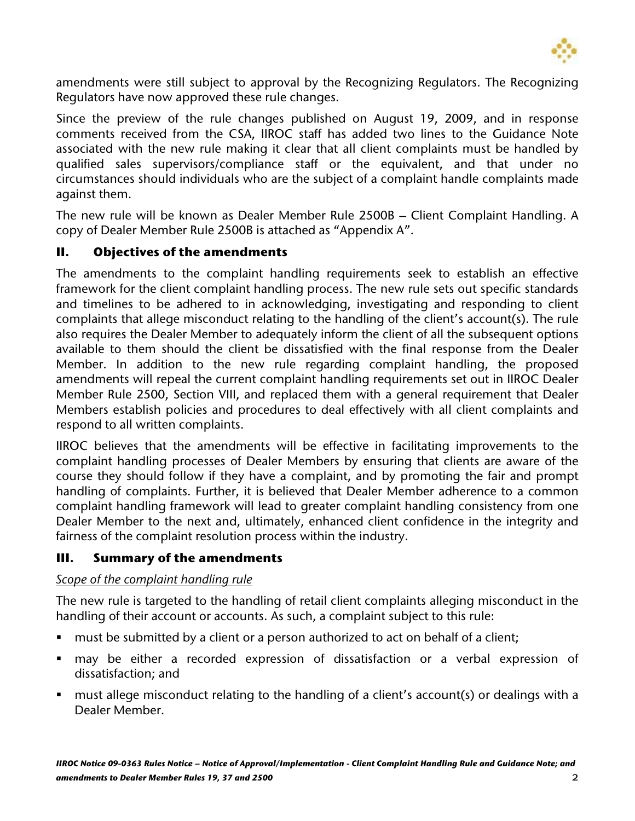

amendments were still subject to approval by the Recognizing Regulators. The Recognizing Regulators have now approved these rule changes.

Since the preview of the rule changes published on August 19, 2009, and in response comments received from the CSA, IIROC staff has added two lines to the Guidance Note associated with the new rule making it clear that all client complaints must be handled by qualified sales supervisors/compliance staff or the equivalent, and that under no circumstances should individuals who are the subject of a complaint handle complaints made against them.

The new rule will be known as Dealer Member Rule 2500B – Client Complaint Handling. A copy of Dealer Member Rule 2500B is attached as "Appendix A".

# **II. Objectives of the amendments**

The amendments to the complaint handling requirements seek to establish an effective framework for the client complaint handling process. The new rule sets out specific standards and timelines to be adhered to in acknowledging, investigating and responding to client complaints that allege misconduct relating to the handling of the client's account(s). The rule also requires the Dealer Member to adequately inform the client of all the subsequent options available to them should the client be dissatisfied with the final response from the Dealer Member. In addition to the new rule regarding complaint handling, the proposed amendments will repeal the current complaint handling requirements set out in IIROC Dealer Member Rule 2500, Section VIII, and replaced them with a general requirement that Dealer Members establish policies and procedures to deal effectively with all client complaints and respond to all written complaints.

IIROC believes that the amendments will be effective in facilitating improvements to the complaint handling processes of Dealer Members by ensuring that clients are aware of the course they should follow if they have a complaint, and by promoting the fair and prompt handling of complaints. Further, it is believed that Dealer Member adherence to a common complaint handling framework will lead to greater complaint handling consistency from one Dealer Member to the next and, ultimately, enhanced client confidence in the integrity and fairness of the complaint resolution process within the industry.

# **III. Summary of the amendments**

## *Scope of the complaint handling rule*

The new rule is targeted to the handling of retail client complaints alleging misconduct in the handling of their account or accounts. As such, a complaint subject to this rule:

- must be submitted by a client or a person authorized to act on behalf of a client;
- may be either a recorded expression of dissatisfaction or a verbal expression of dissatisfaction; and
- must allege misconduct relating to the handling of a client's account(s) or dealings with a Dealer Member.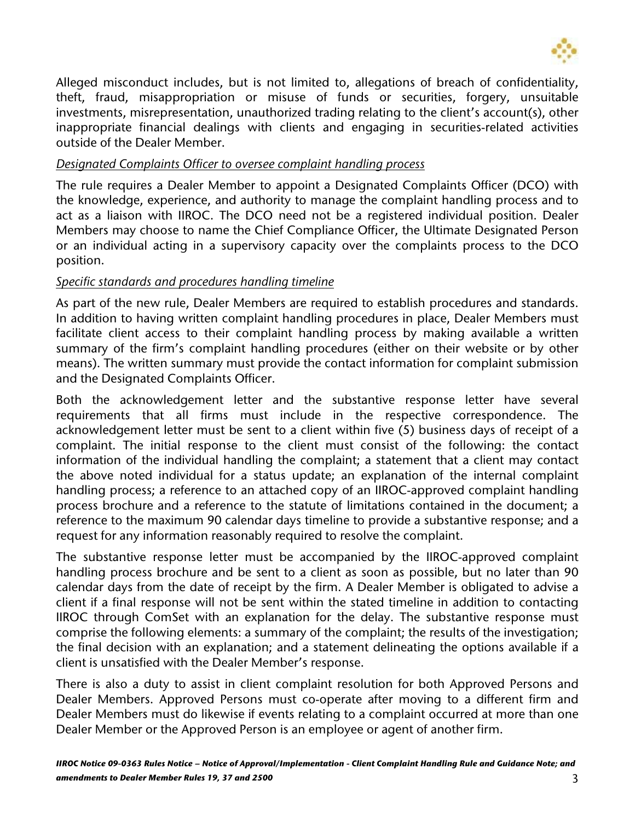

Alleged misconduct includes, but is not limited to, allegations of breach of confidentiality, theft, fraud, misappropriation or misuse of funds or securities, forgery, unsuitable investments, misrepresentation, unauthorized trading relating to the client's account(s), other inappropriate financial dealings with clients and engaging in securities-related activities outside of the Dealer Member.

#### *Designated Complaints Officer to oversee complaint handling process*

The rule requires a Dealer Member to appoint a Designated Complaints Officer (DCO) with the knowledge, experience, and authority to manage the complaint handling process and to act as a liaison with IIROC. The DCO need not be a registered individual position. Dealer Members may choose to name the Chief Compliance Officer, the Ultimate Designated Person or an individual acting in a supervisory capacity over the complaints process to the DCO position.

#### *Specific standards and procedures handling timeline*

As part of the new rule, Dealer Members are required to establish procedures and standards. In addition to having written complaint handling procedures in place, Dealer Members must facilitate client access to their complaint handling process by making available a written summary of the firm's complaint handling procedures (either on their website or by other means). The written summary must provide the contact information for complaint submission and the Designated Complaints Officer.

Both the acknowledgement letter and the substantive response letter have several requirements that all firms must include in the respective correspondence. The acknowledgement letter must be sent to a client within five (5) business days of receipt of a complaint. The initial response to the client must consist of the following: the contact information of the individual handling the complaint; a statement that a client may contact the above noted individual for a status update; an explanation of the internal complaint handling process; a reference to an attached copy of an IIROC-approved complaint handling process brochure and a reference to the statute of limitations contained in the document; a reference to the maximum 90 calendar days timeline to provide a substantive response; and a request for any information reasonably required to resolve the complaint.

The substantive response letter must be accompanied by the IIROC-approved complaint handling process brochure and be sent to a client as soon as possible, but no later than 90 calendar days from the date of receipt by the firm. A Dealer Member is obligated to advise a client if a final response will not be sent within the stated timeline in addition to contacting IIROC through ComSet with an explanation for the delay. The substantive response must comprise the following elements: a summary of the complaint; the results of the investigation; the final decision with an explanation; and a statement delineating the options available if a client is unsatisfied with the Dealer Member's response.

There is also a duty to assist in client complaint resolution for both Approved Persons and Dealer Members. Approved Persons must co-operate after moving to a different firm and Dealer Members must do likewise if events relating to a complaint occurred at more than one Dealer Member or the Approved Person is an employee or agent of another firm.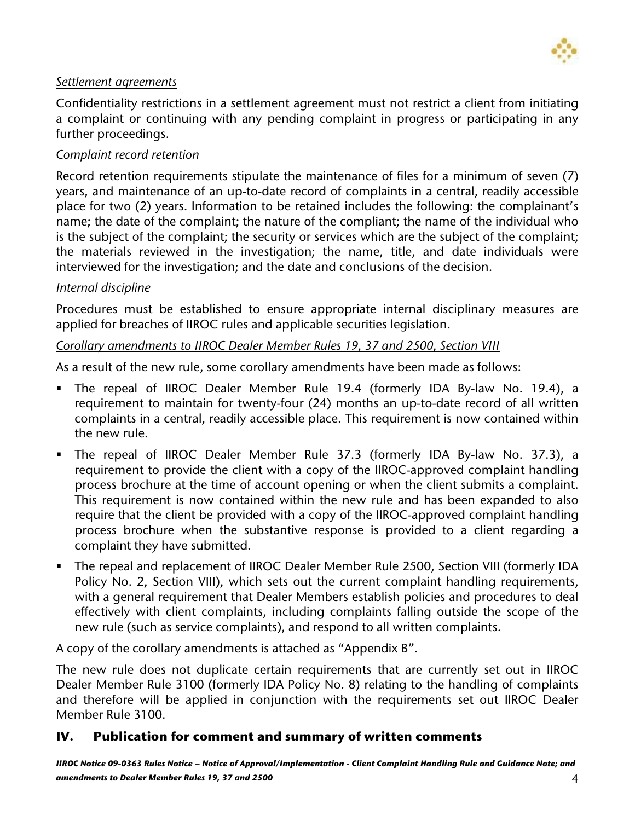

#### *Settlement agreements*

Confidentiality restrictions in a settlement agreement must not restrict a client from initiating a complaint or continuing with any pending complaint in progress or participating in any further proceedings.

#### *Complaint record retention*

Record retention requirements stipulate the maintenance of files for a minimum of seven (7) years, and maintenance of an up-to-date record of complaints in a central, readily accessible place for two (2) years. Information to be retained includes the following: the complainant's name; the date of the complaint; the nature of the compliant; the name of the individual who is the subject of the complaint; the security or services which are the subject of the complaint; the materials reviewed in the investigation; the name, title, and date individuals were interviewed for the investigation; and the date and conclusions of the decision.

## *Internal discipline*

Procedures must be established to ensure appropriate internal disciplinary measures are applied for breaches of IIROC rules and applicable securities legislation.

#### *Corollary amendments to IIROC Dealer Member Rules 19, 37 and 2500, Section VIII*

As a result of the new rule, some corollary amendments have been made as follows:

- The repeal of IIROC Dealer Member Rule 19.4 (formerly IDA By-law No. 19.4), a requirement to maintain for twenty-four (24) months an up-to-date record of all written complaints in a central, readily accessible place. This requirement is now contained within the new rule.
- The repeal of IIROC Dealer Member Rule 37.3 (formerly IDA By-law No. 37.3), a requirement to provide the client with a copy of the IIROC-approved complaint handling process brochure at the time of account opening or when the client submits a complaint. This requirement is now contained within the new rule and has been expanded to also require that the client be provided with a copy of the IIROC-approved complaint handling process brochure when the substantive response is provided to a client regarding a complaint they have submitted.
- The repeal and replacement of IIROC Dealer Member Rule 2500, Section VIII (formerly IDA Policy No. 2, Section VIII), which sets out the current complaint handling requirements, with a general requirement that Dealer Members establish policies and procedures to deal effectively with client complaints, including complaints falling outside the scope of the new rule (such as service complaints), and respond to all written complaints.

A copy of the corollary amendments is attached as "Appendix B".

The new rule does not duplicate certain requirements that are currently set out in IIROC Dealer Member Rule 3100 (formerly IDA Policy No. 8) relating to the handling of complaints and therefore will be applied in conjunction with the requirements set out IIROC Dealer Member Rule 3100.

## **IV. Publication for comment and summary of written comments**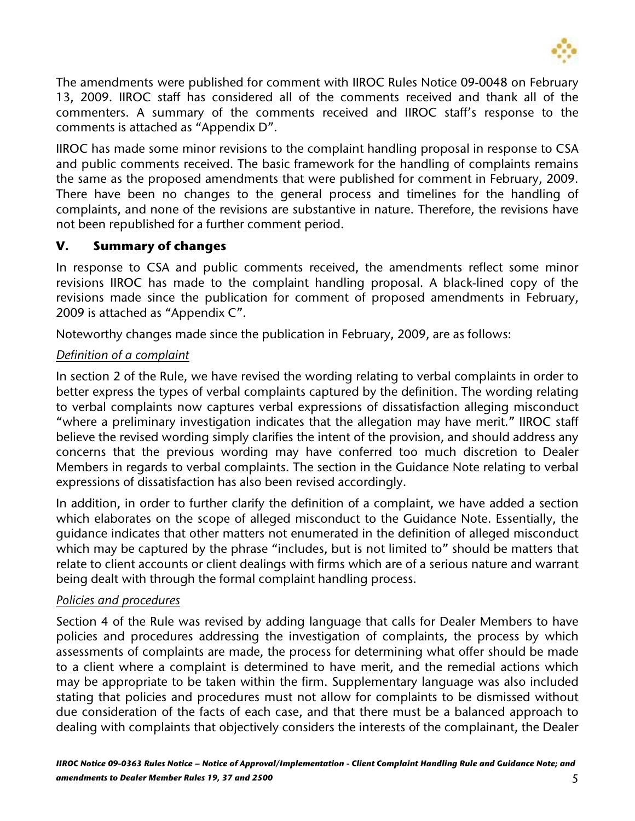

The amendments were published for comment with IIROC Rules Notice 09-0048 on February 13, 2009. IIROC staff has considered all of the comments received and thank all of the commenters. A summary of the comments received and IIROC staff's response to the comments is attached as "Appendix D".

IIROC has made some minor revisions to the complaint handling proposal in response to CSA and public comments received. The basic framework for the handling of complaints remains the same as the proposed amendments that were published for comment in February, 2009. There have been no changes to the general process and timelines for the handling of complaints, and none of the revisions are substantive in nature. Therefore, the revisions have not been republished for a further comment period.

## **V. Summary of changes**

In response to CSA and public comments received, the amendments reflect some minor revisions IIROC has made to the complaint handling proposal. A black-lined copy of the revisions made since the publication for comment of proposed amendments in February, 2009 is attached as "Appendix C".

Noteworthy changes made since the publication in February, 2009, are as follows:

## *Definition of a complaint*

In section 2 of the Rule, we have revised the wording relating to verbal complaints in order to better express the types of verbal complaints captured by the definition. The wording relating to verbal complaints now captures verbal expressions of dissatisfaction alleging misconduct "where a preliminary investigation indicates that the allegation may have merit." IIROC staff believe the revised wording simply clarifies the intent of the provision, and should address any concerns that the previous wording may have conferred too much discretion to Dealer Members in regards to verbal complaints. The section in the Guidance Note relating to verbal expressions of dissatisfaction has also been revised accordingly.

In addition, in order to further clarify the definition of a complaint, we have added a section which elaborates on the scope of alleged misconduct to the Guidance Note. Essentially, the guidance indicates that other matters not enumerated in the definition of alleged misconduct which may be captured by the phrase "includes, but is not limited to" should be matters that relate to client accounts or client dealings with firms which are of a serious nature and warrant being dealt with through the formal complaint handling process.

## *Policies and procedures*

Section 4 of the Rule was revised by adding language that calls for Dealer Members to have policies and procedures addressing the investigation of complaints, the process by which assessments of complaints are made, the process for determining what offer should be made to a client where a complaint is determined to have merit, and the remedial actions which may be appropriate to be taken within the firm. Supplementary language was also included stating that policies and procedures must not allow for complaints to be dismissed without due consideration of the facts of each case, and that there must be a balanced approach to dealing with complaints that objectively considers the interests of the complainant, the Dealer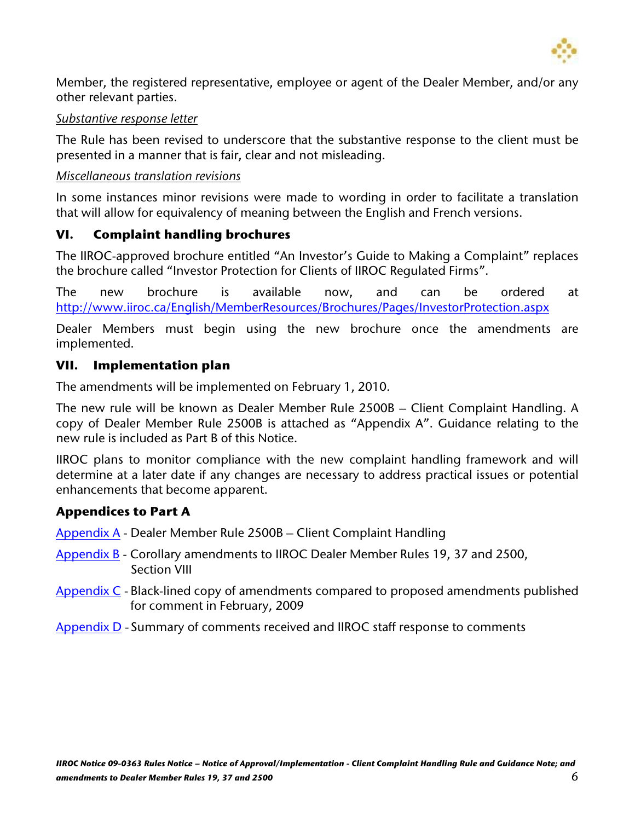

Member, the registered representative, employee or agent of the Dealer Member, and/or any other relevant parties.

#### *Substantive response letter*

The Rule has been revised to underscore that the substantive response to the client must be presented in a manner that is fair, clear and not misleading.

## *Miscellaneous translation revisions*

In some instances minor revisions were made to wording in order to facilitate a translation that will allow for equivalency of meaning between the English and French versions.

## **VI. Complaint handling brochures**

The IIROC-approved brochure entitled "An Investor's Guide to Making a Complaint" replaces the brochure called "Investor Protection for Clients of IIROC Regulated Firms".

The new brochure is available now, and can be ordered at <http://www.iiroc.ca/English/MemberResources/Brochures/Pages/InvestorProtection.aspx>

Dealer Members must begin using the new brochure once the amendments are implemented.

## **VII. Implementation plan**

The amendments will be implemented on February 1, 2010.

The new rule will be known as Dealer Member Rule 2500B – Client Complaint Handling. A copy of Dealer Member Rule 2500B is attached as "Appendix A". Guidance relating to the new rule is included as Part B of this Notice.

IIROC plans to monitor compliance with the new complaint handling framework and will determine at a later date if any changes are necessary to address practical issues or potential enhancements that become apparent.

## **Appendices to Part A**

[Appendix A](http://docs.iiroc.ca/DisplayDocument.aspx?DocumentID=24894D1362ED459FB263FAD28A99520D&Language=en) - Dealer Member Rule 2500B – Client Complaint Handling

- [Appendix B](http://docs.iiroc.ca/DisplayDocument.aspx?DocumentID=68E5323EFAB84F6ABFE448B970A4E22C&Language=en) Corollary amendments to IIROC Dealer Member Rules 19, 37 and 2500, Section VIII
- [Appendix C](http://docs.iiroc.ca/DisplayDocument.aspx?DocumentID=362A49F95FC344DBAFEA9E842FFCAB95&Language=en)  Black-lined copy of amendments compared to proposed amendments published for comment in February, 2009
- [Appendix D](http://docs.iiroc.ca/DisplayDocument.aspx?DocumentID=919BC1A623A141D8A5C23450FBC9AE72&Language=en) Summary of comments received and IIROC staff response to comments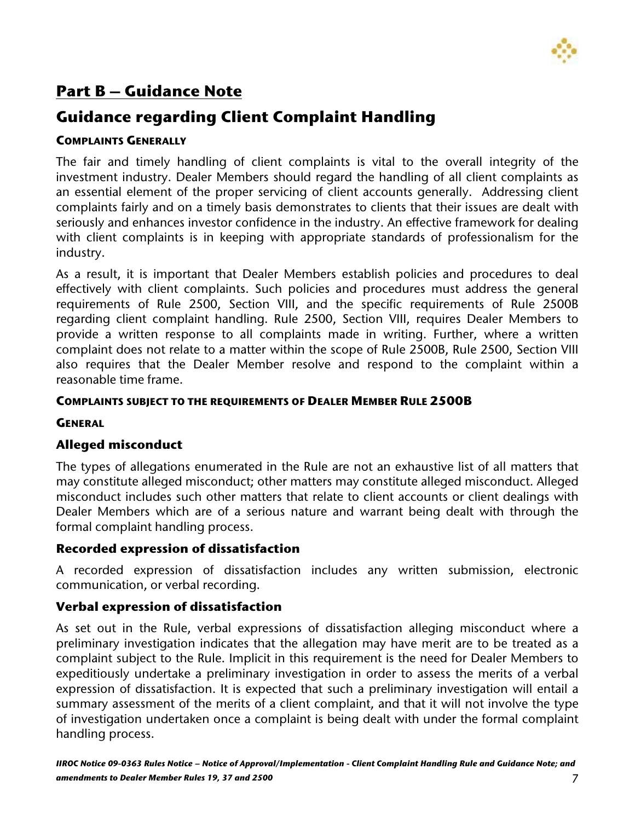

# **Part B – Guidance Note**

# **Guidance regarding Client Complaint Handling**

## **COMPLAINTS GENERALLY**

The fair and timely handling of client complaints is vital to the overall integrity of the investment industry. Dealer Members should regard the handling of all client complaints as an essential element of the proper servicing of client accounts generally. Addressing client complaints fairly and on a timely basis demonstrates to clients that their issues are dealt with seriously and enhances investor confidence in the industry. An effective framework for dealing with client complaints is in keeping with appropriate standards of professionalism for the industry.

As a result, it is important that Dealer Members establish policies and procedures to deal effectively with client complaints. Such policies and procedures must address the general requirements of Rule 2500, Section VIII, and the specific requirements of Rule 2500B regarding client complaint handling. Rule 2500, Section VIII, requires Dealer Members to provide a written response to all complaints made in writing. Further, where a written complaint does not relate to a matter within the scope of Rule 2500B, Rule 2500, Section VIII also requires that the Dealer Member resolve and respond to the complaint within a reasonable time frame.

## **COMPLAINTS SUBJECT TO THE REQUIREMENTS OF DEALER MEMBER RULE 2500B**

## **GENERAL**

# **Alleged misconduct**

The types of allegations enumerated in the Rule are not an exhaustive list of all matters that may constitute alleged misconduct; other matters may constitute alleged misconduct. Alleged misconduct includes such other matters that relate to client accounts or client dealings with Dealer Members which are of a serious nature and warrant being dealt with through the formal complaint handling process.

## **Recorded expression of dissatisfaction**

A recorded expression of dissatisfaction includes any written submission, electronic communication, or verbal recording.

# **Verbal expression of dissatisfaction**

As set out in the Rule, verbal expressions of dissatisfaction alleging misconduct where a preliminary investigation indicates that the allegation may have merit are to be treated as a complaint subject to the Rule. Implicit in this requirement is the need for Dealer Members to expeditiously undertake a preliminary investigation in order to assess the merits of a verbal expression of dissatisfaction. It is expected that such a preliminary investigation will entail a summary assessment of the merits of a client complaint, and that it will not involve the type of investigation undertaken once a complaint is being dealt with under the formal complaint handling process.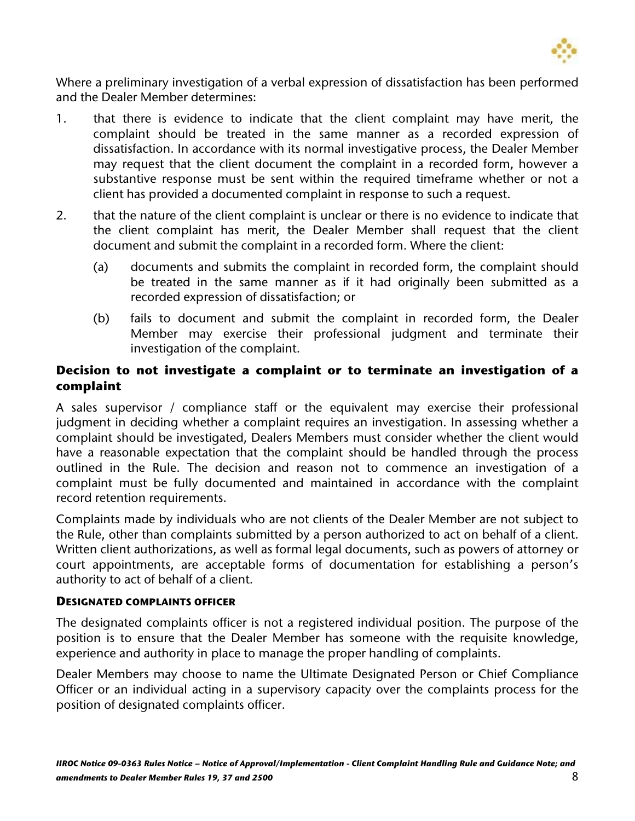

Where a preliminary investigation of a verbal expression of dissatisfaction has been performed and the Dealer Member determines:

- 1. that there is evidence to indicate that the client complaint may have merit, the complaint should be treated in the same manner as a recorded expression of dissatisfaction. In accordance with its normal investigative process, the Dealer Member may request that the client document the complaint in a recorded form, however a substantive response must be sent within the required timeframe whether or not a client has provided a documented complaint in response to such a request.
- 2. that the nature of the client complaint is unclear or there is no evidence to indicate that the client complaint has merit, the Dealer Member shall request that the client document and submit the complaint in a recorded form. Where the client:
	- (a) documents and submits the complaint in recorded form, the complaint should be treated in the same manner as if it had originally been submitted as a recorded expression of dissatisfaction; or
	- (b) fails to document and submit the complaint in recorded form, the Dealer Member may exercise their professional judgment and terminate their investigation of the complaint.

## **Decision to not investigate a complaint or to terminate an investigation of a complaint**

A sales supervisor / compliance staff or the equivalent may exercise their professional judgment in deciding whether a complaint requires an investigation. In assessing whether a complaint should be investigated, Dealers Members must consider whether the client would have a reasonable expectation that the complaint should be handled through the process outlined in the Rule. The decision and reason not to commence an investigation of a complaint must be fully documented and maintained in accordance with the complaint record retention requirements.

Complaints made by individuals who are not clients of the Dealer Member are not subject to the Rule, other than complaints submitted by a person authorized to act on behalf of a client. Written client authorizations, as well as formal legal documents, such as powers of attorney or court appointments, are acceptable forms of documentation for establishing a person's authority to act of behalf of a client.

#### **DESIGNATED COMPLAINTS OFFICER**

The designated complaints officer is not a registered individual position. The purpose of the position is to ensure that the Dealer Member has someone with the requisite knowledge, experience and authority in place to manage the proper handling of complaints.

Dealer Members may choose to name the Ultimate Designated Person or Chief Compliance Officer or an individual acting in a supervisory capacity over the complaints process for the position of designated complaints officer.